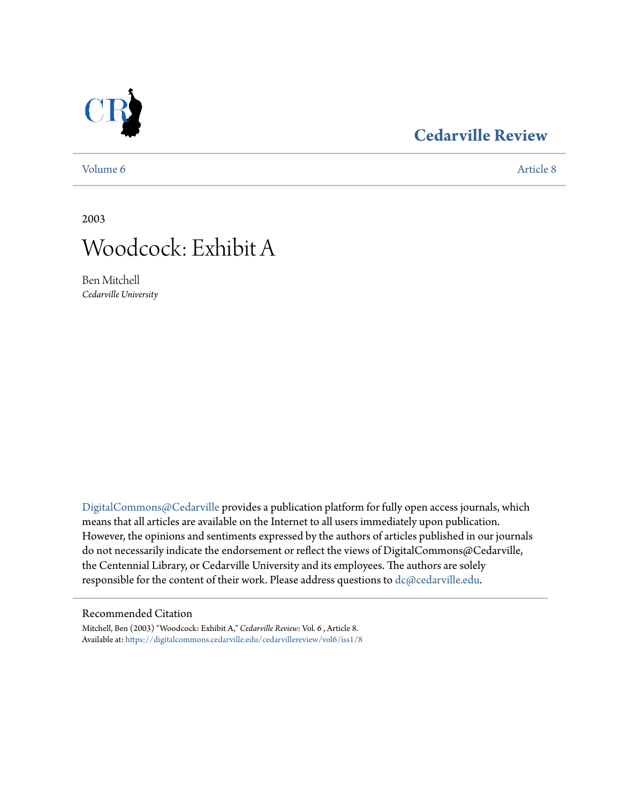## **[Cedarville Review](https://digitalcommons.cedarville.edu/cedarvillereview?utm_source=digitalcommons.cedarville.edu%2Fcedarvillereview%2Fvol6%2Fiss1%2F8&utm_medium=PDF&utm_campaign=PDFCoverPages)**

[Volume 6](https://digitalcommons.cedarville.edu/cedarvillereview/vol6?utm_source=digitalcommons.cedarville.edu%2Fcedarvillereview%2Fvol6%2Fiss1%2F8&utm_medium=PDF&utm_campaign=PDFCoverPages) [Article 8](https://digitalcommons.cedarville.edu/cedarvillereview/vol6/iss1/8?utm_source=digitalcommons.cedarville.edu%2Fcedarvillereview%2Fvol6%2Fiss1%2F8&utm_medium=PDF&utm_campaign=PDFCoverPages)

2003



Ben Mitchell *Cedarville University*

[DigitalCommons@Cedarville](http://digitalcommons.cedarville.edu) provides a publication platform for fully open access journals, which means that all articles are available on the Internet to all users immediately upon publication. However, the opinions and sentiments expressed by the authors of articles published in our journals do not necessarily indicate the endorsement or reflect the views of DigitalCommons@Cedarville, the Centennial Library, or Cedarville University and its employees. The authors are solely responsible for the content of their work. Please address questions to [dc@cedarville.edu](mailto:dc@cedarville.edu).

#### Recommended Citation

Mitchell, Ben (2003) "Woodcock: Exhibit A," *Cedarville Review*: Vol. 6 , Article 8. Available at: [https://digitalcommons.cedarville.edu/cedarvillereview/vol6/iss1/8](https://digitalcommons.cedarville.edu/cedarvillereview/vol6/iss1/8?utm_source=digitalcommons.cedarville.edu%2Fcedarvillereview%2Fvol6%2Fiss1%2F8&utm_medium=PDF&utm_campaign=PDFCoverPages)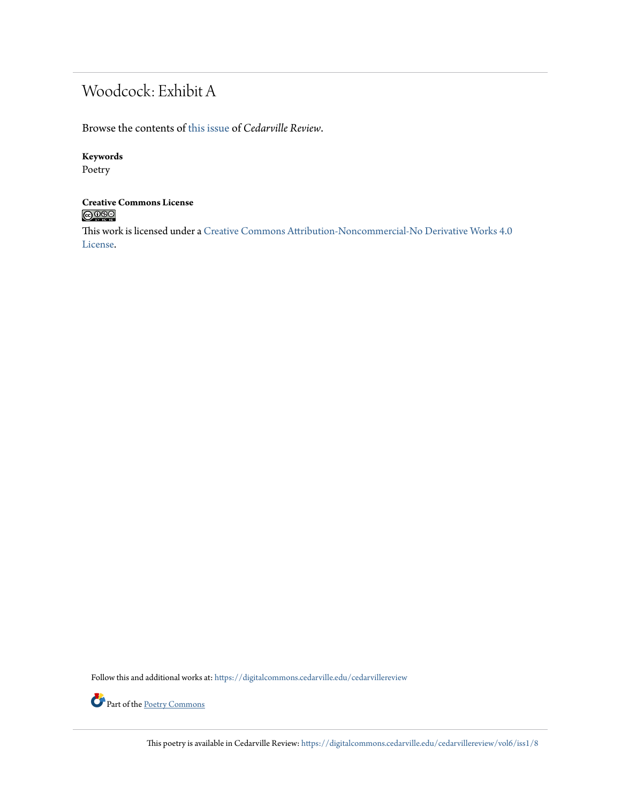# Woodcock: Exhibit A

Browse the contents of [this issue](https://digitalcommons.cedarville.edu/cedarvillereview/vol6/iss1) of *Cedarville Review*.

### **Keywords**

Poetry

### **Creative Commons License**  $\bigcirc$  000

This work is licensed under a [Creative Commons Attribution-Noncommercial-No Derivative Works 4.0](http://creativecommons.org/licenses/by-nc-nd/4.0/) [License.](http://creativecommons.org/licenses/by-nc-nd/4.0/)

Follow this and additional works at: [https://digitalcommons.cedarville.edu/cedarvillereview](https://digitalcommons.cedarville.edu/cedarvillereview?utm_source=digitalcommons.cedarville.edu%2Fcedarvillereview%2Fvol6%2Fiss1%2F8&utm_medium=PDF&utm_campaign=PDFCoverPages)



Part of the <u>[Poetry Commons](http://network.bepress.com/hgg/discipline/1153?utm_source=digitalcommons.cedarville.edu%2Fcedarvillereview%2Fvol6%2Fiss1%2F8&utm_medium=PDF&utm_campaign=PDFCoverPages)</u>

This poetry is available in Cedarville Review: [https://digitalcommons.cedarville.edu/cedarvillereview/vol6/iss1/8](https://digitalcommons.cedarville.edu/cedarvillereview/vol6/iss1/8?utm_source=digitalcommons.cedarville.edu%2Fcedarvillereview%2Fvol6%2Fiss1%2F8&utm_medium=PDF&utm_campaign=PDFCoverPages)